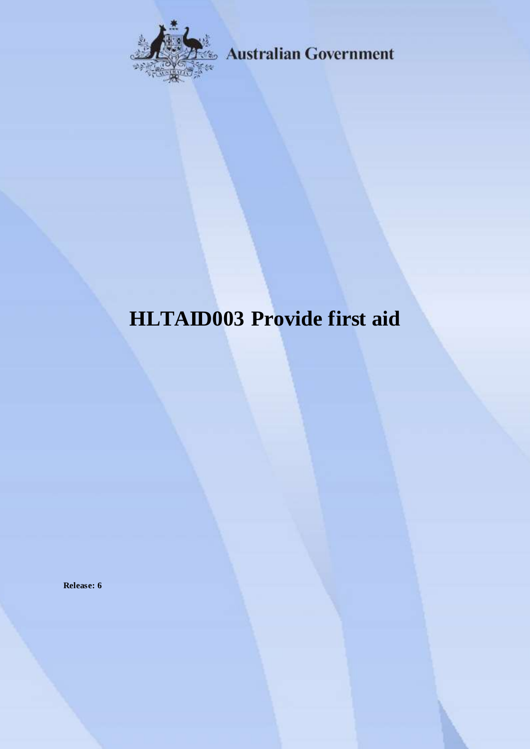

**Australian Government** 

# **HLTAID003 Provide first aid**

**Release: 6**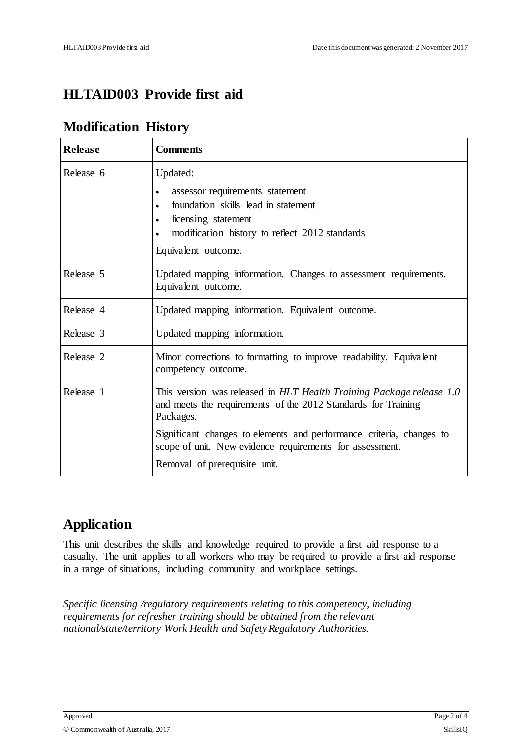### **HLTAID003 Provide first aid**

### **Modification History**

| <b>Release</b> | <b>Comments</b>                                                                                                                                    |
|----------------|----------------------------------------------------------------------------------------------------------------------------------------------------|
| Release 6      | Updated:<br>assessor requirements statement                                                                                                        |
|                | foundation skills lead in statement                                                                                                                |
|                | licensing statement<br>$\bullet$                                                                                                                   |
|                | modification history to reflect 2012 standards                                                                                                     |
|                | Equivalent outcome.                                                                                                                                |
| Release 5      | Updated mapping information. Changes to assessment requirements.<br>Equivalent outcome.                                                            |
| Release 4      | Updated mapping information. Equivalent outcome.                                                                                                   |
| Release 3      | Updated mapping information.                                                                                                                       |
| Release 2      | Minor corrections to formatting to improve readability. Equivalent<br>competency outcome.                                                          |
| Release 1      | This version was released in HLT Health Training Package release 1.0<br>and meets the requirements of the 2012 Standards for Training<br>Packages. |
|                | Significant changes to elements and performance criteria, changes to<br>scope of unit. New evidence requirements for assessment.                   |
|                | Removal of prerequisite unit.                                                                                                                      |

### **Application**

This unit describes the skills and knowledge required to provide a first aid response to a casualty. The unit applies to all workers who may be required to provide a first aid response in a range of situations, including community and workplace settings.

*Specific licensing /regulatory requirements relating to this competency, including requirements for refresher training should be obtained from the relevant national/state/territory Work Health and Safety Regulatory Authorities.*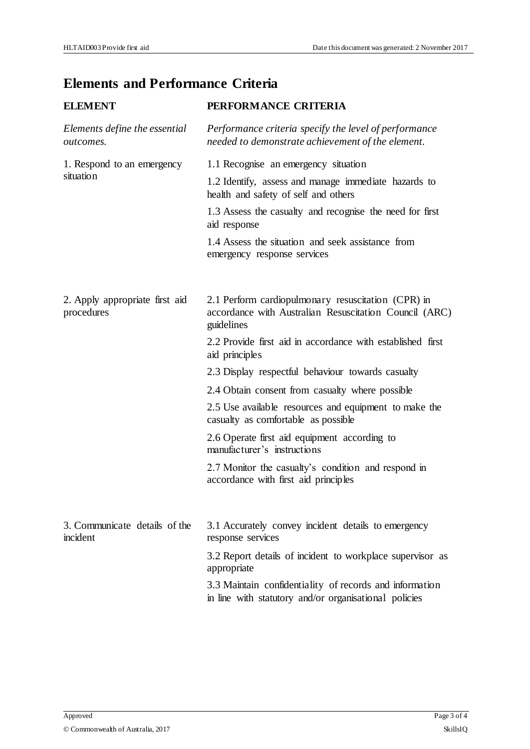## **Elements and Performance Criteria**

| <b>ELEMENT</b>                             | PERFORMANCE CRITERIA                                                                                             |
|--------------------------------------------|------------------------------------------------------------------------------------------------------------------|
| Elements define the essential<br>outcomes. | Performance criteria specify the level of performance<br>needed to demonstrate achievement of the element.       |
| 1. Respond to an emergency                 | 1.1 Recognise an emergency situation                                                                             |
| situation                                  | 1.2 Identify, assess and manage immediate hazards to<br>health and safety of self and others                     |
|                                            | 1.3 Assess the casualty and recognise the need for first<br>aid response                                         |
|                                            | 1.4 Assess the situation and seek assistance from<br>emergency response services                                 |
| 2. Apply appropriate first aid             | 2.1 Perform cardiopulmonary resuscitation (CPR) in                                                               |
| procedures                                 | accordance with Australian Resuscitation Council (ARC)<br>guidelines                                             |
|                                            | 2.2 Provide first aid in accordance with established first<br>aid principles                                     |
|                                            | 2.3 Display respectful behaviour towards casualty                                                                |
|                                            | 2.4 Obtain consent from casualty where possible                                                                  |
|                                            | 2.5 Use available resources and equipment to make the<br>casualty as comfortable as possible                     |
|                                            | 2.6 Operate first aid equipment according to<br>manufacturer's instructions                                      |
|                                            | 2.7 Monitor the casualty's condition and respond in<br>accordance with first aid principles                      |
| 3. Communicate details of the<br>incident  | 3.1 Accurately convey incident details to emergency<br>response services                                         |
|                                            | 3.2 Report details of incident to workplace supervisor as<br>appropriate                                         |
|                                            | 3.3 Maintain confidentiality of records and information<br>in line with statutory and/or organisational policies |